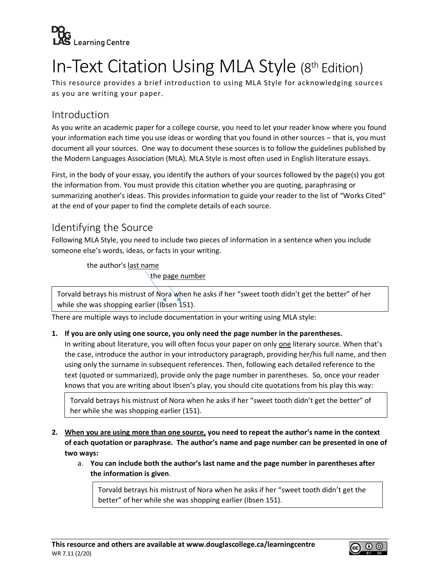

# In-Text Citation Using MLA Style (8th Edition)

This resource provides a brief introduction to using MLA Style for acknowledging sources as you are writing your paper.

#### Introduction

As you write an academic paper for a college course, you need to let your reader know where you found your information each time you use ideas or wording that you found in other sources – that is, you must document all your sources. One way to document these sources is to follow the guidelines published by the Modern Languages Association (MLA). MLA Style is most often used in English literature essays.

First, in the body of your essay, you identify the authors of your sources followed by the page(s) you got the information from. You must provide this citation whether you are quoting, paraphrasing or summarizing another's ideas. This provides information to guide your reader to the list of "Works Cited" at the end of your paper to find the complete details of each source.

### Identifying the Source

Following MLA Style, you need to include two pieces of information in a sentence when you include someone else's words, ideas, or facts in your writing.

the author's last name

the page number

Torvald betrays his mistrust of Nora when he asks if her "sweet tooth didn't get the better" of her while she was shopping earlier (Ibsen 151).

There are multiple ways to include documentation in your writing using MLA style:

#### **1. If you are only using one source, you only need the page number in the parentheses.**

In writing about literature, you will often focus your paper on only one literary source. When that's the case, introduce the author in your introductory paragraph, providing her/his full name, and then using only the surname in subsequent references. Then, following each detailed reference to the text (quoted or summarized), provide only the page number in parentheses. So, once your reader knows that you are writing about Ibsen's play, you should cite quotations from his play this way:

Torvald betrays his mistrust of Nora when he asks if her "sweet tooth didn't get the better" of her while she was shopping earlier (151).

#### **2. When you are using more than one source, you need to repeat the author's name in the context of each quotation or paraphrase. The author's name and page number can be presented in one of two ways:**

a. **You can include both the author's last name and the page number in parentheses after the information is given**.

Torvald betrays his mistrust of Nora when he asks if her "sweet tooth didn't get the better" of her while she was shopping earlier (Ibsen 151).

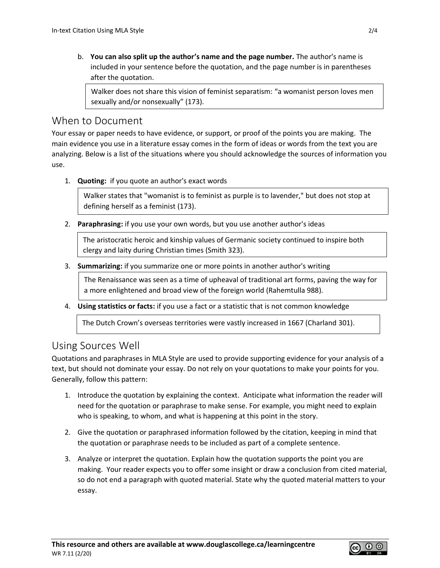b. **You can also split up the author's name and the page number.** The author's name is included in your sentence before the quotation, and the page number is in parentheses after the quotation.

Walker does not share this vision of feminist separatism: "a womanist person loves men sexually and/or nonsexually" (173).

#### When to Document

Your essay or paper needs to have evidence, or support, or proof of the points you are making. The main evidence you use in a literature essay comes in the form of ideas or words from the text you are analyzing. Below is a list of the situations where you should acknowledge the sources of information you use.

1. **Quoting:** if you quote an author's exact words

Walker states that "womanist is to feminist as purple is to lavender," but does not stop at defining herself as a feminist (173).

2. **Paraphrasing:** if you use your own words, but you use another author's ideas

The aristocratic heroic and kinship values of Germanic society continued to inspire both clergy and laity during Christian times (Smith 323).

3. **Summarizing:** if you summarize one or more points in another author's writing

The Renaissance was seen as a time of upheaval of traditional art forms, paving the way for a more enlightened and broad view of the foreign world (Rahemtulla 988).

4. **Using statistics or facts:** if you use a fact or a statistic that is not common knowledge

The Dutch Crown's overseas territories were vastly increased in 1667 (Charland 301).

### Using Sources Well

Quotations and paraphrases in MLA Style are used to provide supporting evidence for your analysis of a text, but should not dominate your essay. Do not rely on your quotations to make your points for you. Generally, follow this pattern:

- 1. Introduce the quotation by explaining the context. Anticipate what information the reader will need for the quotation or paraphrase to make sense. For example, you might need to explain who is speaking, to whom, and what is happening at this point in the story.
- 2. Give the quotation or paraphrased information followed by the citation, keeping in mind that the quotation or paraphrase needs to be included as part of a complete sentence.
- 3. Analyze or interpret the quotation. Explain how the quotation supports the point you are making. Your reader expects you to offer some insight or draw a conclusion from cited material, so do not end a paragraph with quoted material. State why the quoted material matters to your essay.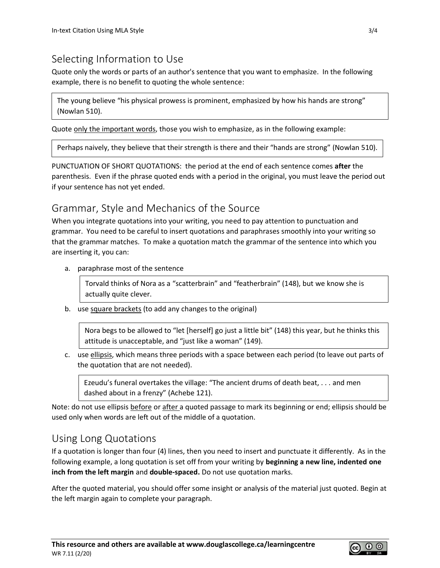### Selecting Information to Use

Quote only the words or parts of an author's sentence that you want to emphasize. In the following example, there is no benefit to quoting the whole sentence:

The young believe "his physical prowess is prominent, emphasized by how his hands are strong" (Nowlan 510).

Quote only the important words, those you wish to emphasize, as in the following example:

Perhaps naively, they believe that their strength is there and their "hands are strong" (Nowlan 510).

PUNCTUATION OF SHORT QUOTATIONS: the period at the end of each sentence comes **after** the parenthesis. Even if the phrase quoted ends with a period in the original, you must leave the period out if your sentence has not yet ended.

#### Grammar, Style and Mechanics of the Source

When you integrate quotations into your writing, you need to pay attention to punctuation and grammar. You need to be careful to insert quotations and paraphrases smoothly into your writing so that the grammar matches. To make a quotation match the grammar of the sentence into which you are inserting it, you can:

a. paraphrase most of the sentence

Torvald thinks of Nora as a "scatterbrain" and "featherbrain" (148), but we know she is actually quite clever.

b. use square brackets (to add any changes to the original)

Nora begs to be allowed to "let [herself] go just a little bit" (148) this year, but he thinks this attitude is unacceptable, and "just like a woman" (149).

c. use ellipsis, which means three periods with a space between each period (to leave out parts of the quotation that are not needed).

Ezeudu's funeral overtakes the village: "The ancient drums of death beat, . . . and men dashed about in a frenzy" (Achebe 121).

Note: do not use ellipsis before or after a quoted passage to mark its beginning or end; ellipsis should be used only when words are left out of the middle of a quotation.

### Using Long Quotations

If a quotation is longer than four (4) lines, then you need to insert and punctuate it differently. As in the following example, a long quotation is set off from your writing by **beginning a new line, indented one inch from the left margin** and **double-spaced.** Do not use quotation marks.

After the quoted material, you should offer some insight or analysis of the material just quoted. Begin at the left margin again to complete your paragraph.